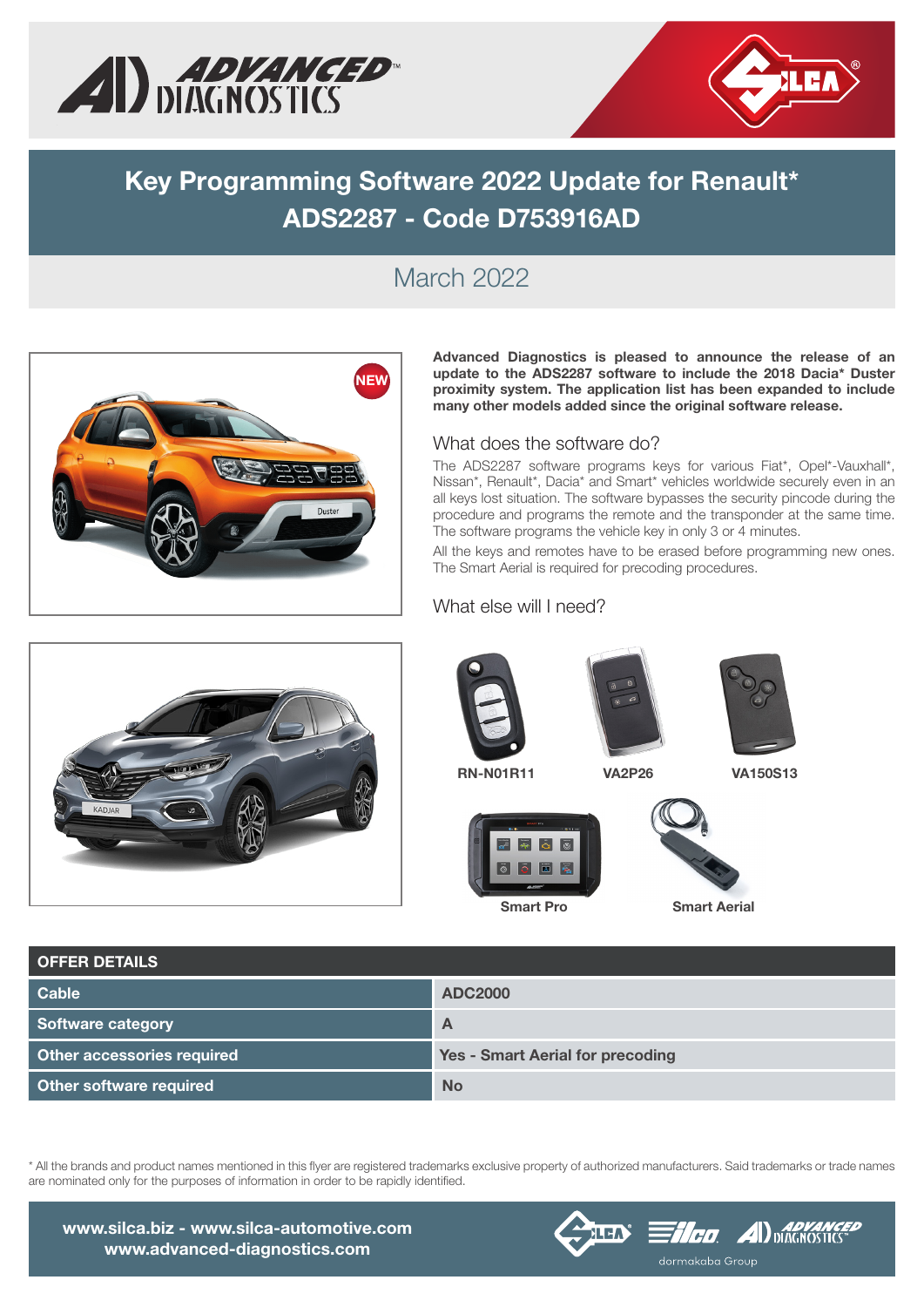



# Key Programming Software 2022 Update for Renault\* ADS2287 - Code D753916AD

### March 2022



Advanced Diagnostics is pleased to announce the release of an update to the ADS2287 software to include the 2018 Dacia\* Duster proximity system. The application list has been expanded to include many other models added since the original software release.

#### What does the software do?

The ADS2287 software programs keys for various Fiat\*, Opel\*-Vauxhall\*, Nissan\*, Renault\*, Dacia\* and Smart\* vehicles worldwide securely even in an all keys lost situation. The software bypasses the security pincode during the procedure and programs the remote and the transponder at the same time. The software programs the vehicle key in only 3 or 4 minutes.

All the keys and remotes have to be erased before programming new ones. The Smart Aerial is required for precoding procedures.



#### What else will I need?









Smart Pro Smart Aerial

| <b>OFFER DETAILS</b>              |                                         |
|-----------------------------------|-----------------------------------------|
| <b>Cable</b>                      | <b>ADC2000</b>                          |
| Software category                 | A                                       |
| <b>Other accessories required</b> | <b>Yes - Smart Aerial for precoding</b> |
| Other software required           | <b>No</b>                               |

\* All the brands and product names mentioned in this flyer are registered trademarks exclusive property of authorized manufacturers. Said trademarks or trade names are nominated only for the purposes of information in order to be rapidly identified.





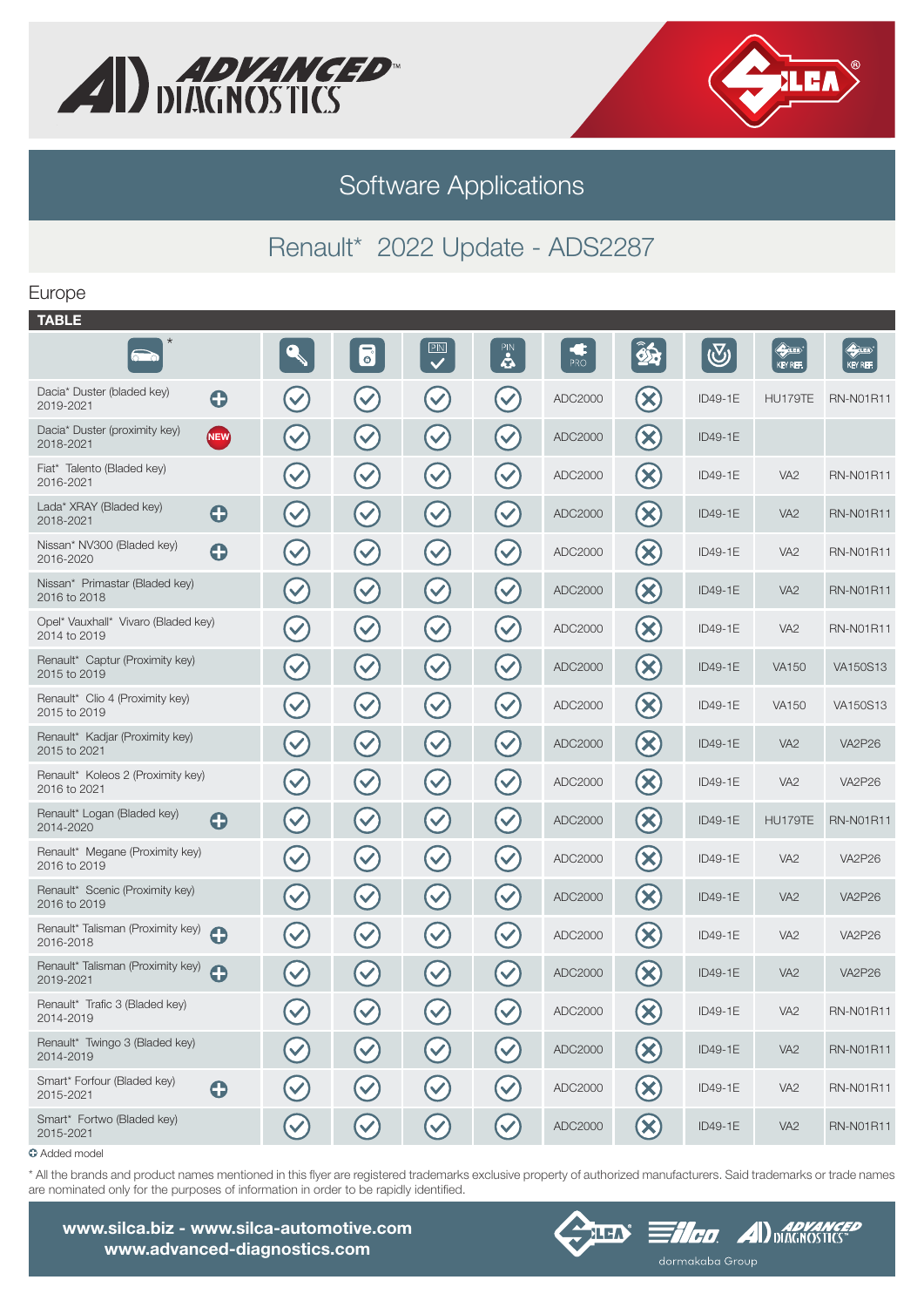



# Software Applications

### Renault\* 2022 Update - ADS2287

### Europe

| <b>TABLE</b>                                                 |                      |                           |                           |                      |                        |                             |            |                                 |                                 |
|--------------------------------------------------------------|----------------------|---------------------------|---------------------------|----------------------|------------------------|-----------------------------|------------|---------------------------------|---------------------------------|
| $\star$<br>$\sim$                                            |                      | 6                         | PIN<br>$\checkmark$       | PIN                  | $\frac{1}{\text{PRO}}$ | 85                          | $\bigcirc$ | $\bigoplus_{i=1}^n$<br>KEY REF. | $\bigoplus_{i=1}^n$<br>KEY REF. |
| Dacia* Duster (bladed key)<br>$\mathbf \Theta$<br>2019-2021  | $\blacktriangledown$ | $\blacktriangledown$      | $\blacktriangledown$      | $\checkmark$         | ADC2000                | $\bigotimes$                | ID49-1E    | HU179TE                         | <b>RN-N01R11</b>                |
| Dacia* Duster (proximity key)<br><b>NEW</b><br>2018-2021     | $\blacktriangledown$ | $\blacktriangledown$      | $\blacktriangledown$      | $\checkmark$         | ADC2000                | $\bigotimes$                | ID49-1E    |                                 |                                 |
| Fiat* Talento (Bladed key)<br>2016-2021                      | $\blacktriangledown$ | $\left(\checkmark\right)$ | $\blacktriangledown$      | $\blacktriangledown$ | ADC2000                | $\infty$                    | ID49-1E    | VA <sub>2</sub>                 | <b>RN-N01R11</b>                |
| Lada* XRAY (Bladed key)<br>$\mathbf \Theta$<br>2018-2021     | $\blacktriangledown$ | $\blacktriangledown$      | $\blacktriangledown$      | $\blacktriangledown$ | ADC2000                | $\left( \infty \right)$     | ID49-1E    | VA <sub>2</sub>                 | <b>RN-N01R11</b>                |
| Nissan* NV300 (Bladed key)<br>0<br>2016-2020                 | $\blacktriangledown$ | $\blacktriangledown$      | $\left(\checkmark\right)$ | $(\checkmark$        | ADC2000                | $\left(\infty\right)$       | ID49-1E    | VA <sub>2</sub>                 | <b>RN-N01R11</b>                |
| Nissan* Primastar (Bladed key)<br>2016 to 2018               | $\blacktriangledown$ | $\blacktriangledown$      | $(\vee)$                  | $\blacktriangledown$ | ADC2000                | $\infty$                    | ID49-1E    | VA <sub>2</sub>                 | <b>RN-N01R11</b>                |
| Opel* Vauxhall* Vivaro (Bladed key)<br>2014 to 2019          | $\bigvee$            | $\left(\checkmark\right)$ | $(\vee)$                  | $(\checkmark)$       | ADC2000                | $\bigotimes$                | ID49-1E    | VA <sub>2</sub>                 | <b>RN-N01R11</b>                |
| Renault* Captur (Proximity key)<br>2015 to 2019              | $\bigvee$            | $\blacktriangledown$      | $\blacktriangledown$      | $\checkmark$         | ADC2000                | $\bigotimes$                | ID49-1E    | <b>VA150</b>                    | VA150S13                        |
| Renault* Clio 4 (Proximity key)<br>2015 to 2019              | $\bigvee$            | $\left(\checkmark\right)$ | $\left(\checkmark\right)$ | $(\checkmark)$       | ADC2000                | $\infty$                    | ID49-1E    | <b>VA150</b>                    | VA150S13                        |
| Renault* Kadjar (Proximity key)<br>2015 to 2021              | $\blacktriangledown$ | $\left(\checkmark\right)$ | $\left(\checkmark\right)$ | $(\vee)$             | ADC2000                | $\bigotimes$                | ID49-1E    | VA <sub>2</sub>                 | <b>VA2P26</b>                   |
| Renault* Koleos 2 (Proximity key)<br>2016 to 2021            | $\blacktriangledown$ | $\left(\checkmark\right)$ | $\left(\checkmark\right)$ | $(\checkmark)$       | ADC2000                | $\left(\!\mathsf{x}\right)$ | ID49-1E    | VA <sub>2</sub>                 | <b>VA2P26</b>                   |
| Renault* Logan (Bladed key)<br>$\mathbf \Theta$<br>2014-2020 | $\blacktriangledown$ | $\left(\checkmark\right)$ | $\blacktriangledown$      | $\checkmark$         | ADC2000                | $\bigotimes$                | ID49-1E    | HU179TE                         | <b>RN-N01R11</b>                |
| Renault* Megane (Proximity key)<br>2016 to 2019              | $\blacktriangledown$ | $\blacktriangledown$      | $\blacktriangledown$      | $\checkmark$         | ADC2000                | $(\mathsf{x})$              | ID49-1E    | VA <sub>2</sub>                 | <b>VA2P26</b>                   |
| Renault* Scenic (Proximity key)<br>2016 to 2019              | $\blacktriangledown$ | $\blacktriangledown$      | $(\vee)$                  | $(\checkmark$        | ADC2000                | $\infty$                    | ID49-1E    | VA <sub>2</sub>                 | <b>VA2P26</b>                   |
| Renault* Talisman (Proximity key)<br>0<br>2016-2018          | $\blacktriangledown$ | $\blacktriangledown$      | $\blacktriangledown$      | $\blacktriangledown$ | ADC2000                | $\left(\mathsf{x}\right)$   | ID49-1E    | VA <sub>2</sub>                 | <b>VA2P26</b>                   |
| Renault* Talisman (Proximity key)<br>O<br>2019-2021          | $\checkmark$         | $\checkmark$              | $\checkmark$              | $\blacktriangledown$ | ADC2000                | $(\!\mathsf{x}\!)$          | ID49-1E    | VA <sub>2</sub>                 | <b>VA2P26</b>                   |
| Renault* Trafic 3 (Bladed key)<br>2014-2019                  | $\bigvee$            | $\bigvee$                 | $\bigvee$                 | $\blacktriangledown$ | ADC2000                | $\bigotimes$                | ID49-1E    | VA <sub>2</sub>                 | <b>RN-N01R11</b>                |
| Renault* Twingo 3 (Bladed key)<br>2014-2019                  |                      | $\blacktriangledown$      | $\bigvee$                 | $\checkmark$         | ADC2000                | $\left(\!\infty\!\right)$   | ID49-1E    | VA <sub>2</sub>                 | <b>RN-N01R11</b>                |
| Smart* Forfour (Bladed key)<br>$\bullet$<br>2015-2021        |                      | $\left(\checkmark\right)$ | $\left(\checkmark\right)$ | $(\checkmark)$       | ADC2000                | $\left(\mathsf{x}\right)$   | ID49-1E    | VA <sub>2</sub>                 | <b>RN-N01R11</b>                |
| Smart* Fortwo (Bladed key)<br>2015-2021                      | $\blacktriangledown$ | $\left(\checkmark\right)$ | $\left(\checkmark\right)$ | $\blacktriangledown$ | ADC2000                | $\bigotimes$                | ID49-1E    | VA <sub>2</sub>                 | <b>RN-N01R11</b>                |
| a Added model                                                |                      |                           |                           |                      |                        |                             |            |                                 |                                 |

Added model

\* All the brands and product names mentioned in this flyer are registered trademarks exclusive property of authorized manufacturers. Said trademarks or trade names are nominated only for the purposes of information in order to be rapidly identified.

www.silca.biz - www.silca-automotive.com www.advanced-diagnostics.com